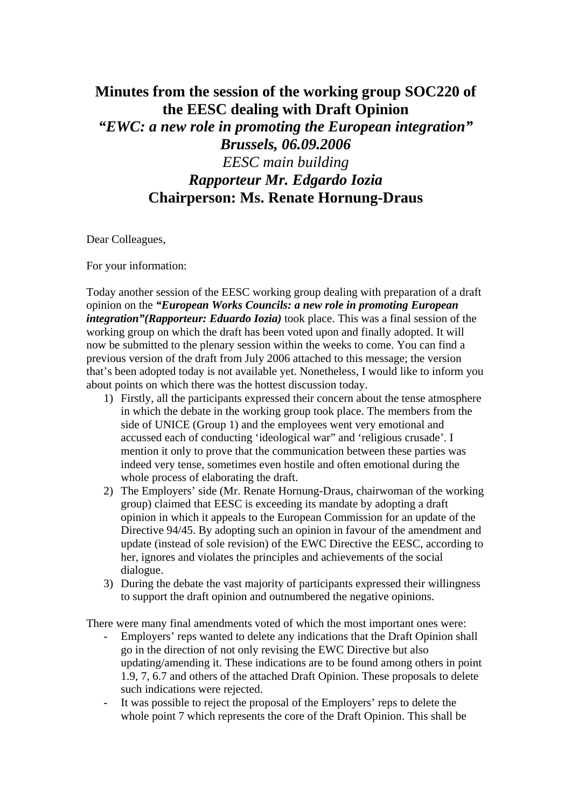## **Minutes from the session of the working group SOC220 of the EESC dealing with Draft Opinion**  *"EWC: a new role in promoting the European integration" Brussels, 06.09.2006 EESC main building Rapporteur Mr. Edgardo Iozia*  **Chairperson: Ms. Renate Hornung-Draus**

Dear Colleagues,

For your information:

Today another session of the EESC working group dealing with preparation of a draft opinion on the *"European Works Councils: a new role in promoting European integration"(Rapporteur: Eduardo Iozia)* took place. This was a final session of the working group on which the draft has been voted upon and finally adopted. It will now be submitted to the plenary session within the weeks to come. You can find a previous version of the draft from July 2006 attached to this message; the version that's been adopted today is not available yet. Nonetheless, I would like to inform you about points on which there was the hottest discussion today.

- 1) Firstly, all the participants expressed their concern about the tense atmosphere in which the debate in the working group took place. The members from the side of UNICE (Group 1) and the employees went very emotional and accussed each of conducting 'ideological war" and 'religious crusade'. I mention it only to prove that the communication between these parties was indeed very tense, sometimes even hostile and often emotional during the whole process of elaborating the draft.
- 2) The Employers' side (Mr. Renate Hornung-Draus, chairwoman of the working group) claimed that EESC is exceeding its mandate by adopting a draft opinion in which it appeals to the European Commission for an update of the Directive 94/45. By adopting such an opinion in favour of the amendment and update (instead of sole revision) of the EWC Directive the EESC, according to her, ignores and violates the principles and achievements of the social dialogue.
- 3) During the debate the vast majority of participants expressed their willingness to support the draft opinion and outnumbered the negative opinions.

There were many final amendments voted of which the most important ones were:

- Employers' reps wanted to delete any indications that the Draft Opinion shall go in the direction of not only revising the EWC Directive but also updating/amending it. These indications are to be found among others in point 1.9, 7, 6.7 and others of the attached Draft Opinion. These proposals to delete such indications were rejected.
- It was possible to reject the proposal of the Employers' reps to delete the whole point 7 which represents the core of the Draft Opinion. This shall be